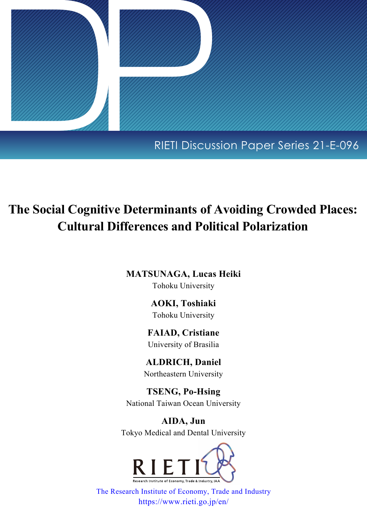

## RIETI Discussion Paper Series 21-E-096

# **The Social Cognitive Determinants of Avoiding Crowded Places: Cultural Differences and Political Polarization**

**MATSUNAGA, Lucas Heiki** Tohoku University

> **AOKI, Toshiaki** Tohoku University

**FAIAD, Cristiane** University of Brasilia

**ALDRICH, Daniel** Northeastern University

**TSENG, Po-Hsing** National Taiwan Ocean University

**AIDA, Jun** Tokyo Medical and Dental University



[The Research Institute of Economy, Trade and Industry](https://www.rieti.go.jp/en/index.html) https://www.rieti.go.jp/en/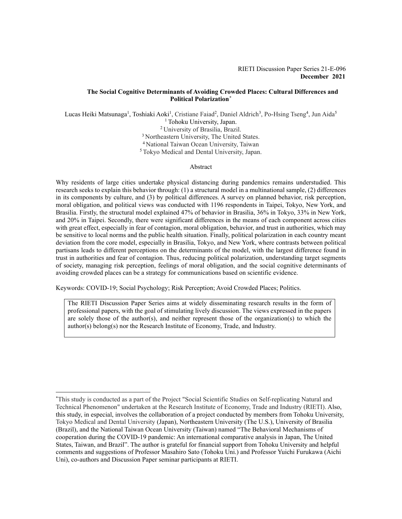#### **The Social Cognitive Determinants of Avoiding Crowded Places: Cultural Differences and Political Polarization[\\*](#page-1-0)**

Lucas Heiki Matsunaga<sup>1</sup>, Toshiaki Aoki<sup>1</sup>, Cristiane Faiad<sup>2</sup>, Daniel Aldrich<sup>3</sup>, Po-Hsing Tseng<sup>4</sup>, Jun Aida<sup>5</sup> <sup>1</sup> Tohoku University, Japan. 2 University of Brasilia, Brazil. <sup>3</sup> Northeastern University, The United States. 4 National Taiwan Ocean University, Taiwan 5 Tokyo Medical and Dental University, Japan.

#### Abstract

Why residents of large cities undertake physical distancing during pandemics remains understudied. This research seeks to explain this behavior through: (1) a structural model in a multinational sample, (2) differences in its components by culture, and (3) by political differences. A survey on planned behavior, risk perception, moral obligation, and political views was conducted with 1196 respondents in Taipei, Tokyo, New York, and Brasilia. Firstly, the structural model explained 47% of behavior in Brasilia, 36% in Tokyo, 33% in New York, and 20% in Taipei. Secondly, there were significant differences in the means of each component across cities with great effect, especially in fear of contagion, moral obligation, behavior, and trust in authorities, which may be sensitive to local norms and the public health situation. Finally, political polarization in each country meant deviation from the core model, especially in Brasilia, Tokyo, and New York, where contrasts between political partisans leads to different perceptions on the determinants of the model, with the largest difference found in trust in authorities and fear of contagion. Thus, reducing political polarization, understanding target segments of society, managing risk perception, feelings of moral obligation, and the social cognitive determinants of avoiding crowded places can be a strategy for communications based on scientific evidence.

Keywords: COVID-19; Social Psychology; Risk Perception; Avoid Crowded Places; Politics.

The RIETI Discussion Paper Series aims at widely disseminating research results in the form of professional papers, with the goal of stimulating lively discussion. The views expressed in the papers are solely those of the author(s), and neither represent those of the organization(s) to which the author(s) belong(s) nor the Research Institute of Economy, Trade, and Industry.

<span id="page-1-0"></span><sup>\*</sup> This study is conducted as a part of the Project "Social Scientific Studies on Self-replicating Natural and Technical Phenomenon" undertaken at the Research Institute of Economy, Trade and Industry (RIETI). Also, this study, in especial, involves the collaboration of a project conducted by members from Tohoku University, Tokyo Medical and Dental University (Japan), Northeastern University (The U.S.), University of Brasilia (Brazil), and the National Taiwan Ocean University (Taiwan) named "The Behavioral Mechanisms of cooperation during the COVID-19 pandemic: An international comparative analysis in Japan, The United States, Taiwan, and Brazil". The author is grateful for financial support from Tohoku University and helpful comments and suggestions of Professor Masahiro Sato (Tohoku Uni.) and Professor Yuichi Furukawa (Aichi Uni), co-authors and Discussion Paper seminar participants at RIETI.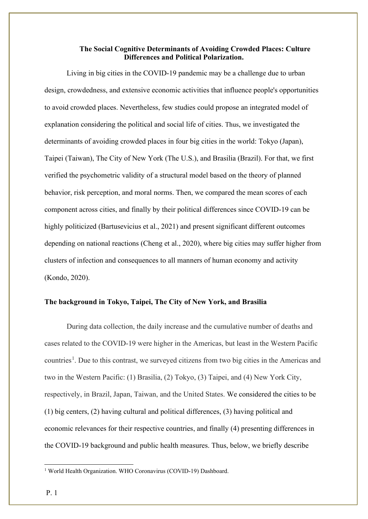## **The Social Cognitive Determinants of Avoiding Crowded Places: Culture Differences and Political Polarization.**

Living in big cities in the COVID-19 pandemic may be a challenge due to urban design, crowdedness, and extensive economic activities that influence people's opportunities to avoid crowded places. Nevertheless, few studies could propose an integrated model of explanation considering the political and social life of cities. Thus, we investigated the determinants of avoiding crowded places in four big cities in the world: Tokyo (Japan), Taipei (Taiwan), The City of New York (The U.S.), and Brasilia (Brazil). For that, we first verified the psychometric validity of a structural model based on the theory of planned behavior, risk perception, and moral norms. Then, we compared the mean scores of each component across cities, and finally by their political differences since COVID-19 can be highly politicized (Bartusevicius et al., 2021) and present significant different outcomes depending on national reactions (Cheng et al., 2020), where big cities may suffer higher from clusters of infection and consequences to all manners of human economy and activity (Kondo, 2020).

## **The background in Tokyo, Taipei, The City of New York, and Brasilia**

During data collection, the daily increase and the cumulative number of deaths and cases related to the COVID-19 were higher in the Americas, but least in the Western Pacific countries<sup>[1](#page-2-0)</sup>. Due to this contrast, we surveyed citizens from two big cities in the Americas and two in the Western Pacific: (1) Brasilia, (2) Tokyo, (3) Taipei, and (4) New York City, respectively, in Brazil, Japan, Taiwan, and the United States. We considered the cities to be (1) big centers, (2) having cultural and political differences, (3) having political and economic relevances for their respective countries, and finally (4) presenting differences in the COVID-19 background and public health measures. Thus, below, we briefly describe

<span id="page-2-0"></span><sup>&</sup>lt;sup>1</sup> World Health Organization. WHO Coronavirus (COVID-19) Dashboard.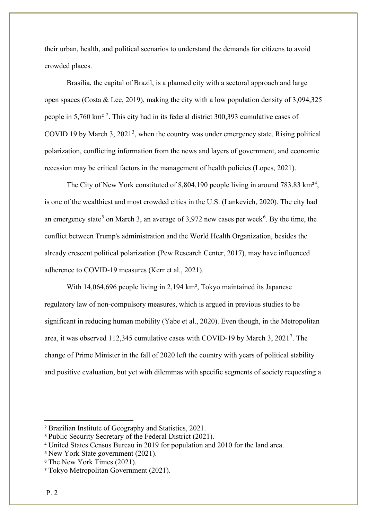their urban, health, and political scenarios to understand the demands for citizens to avoid crowded places.

Brasilia, the capital of Brazil, is a planned city with a sectoral approach and large open spaces (Costa & Lee, 2019), making the city with a low population density of 3,094,325 people in 5,760 km<sup>[2](#page-3-0)</sup><sup>2</sup>. This city had in its federal district 300,393 cumulative cases of COVID 19 by March [3](#page-3-1), 2021<sup>3</sup>, when the country was under emergency state. Rising political polarization, conflicting information from the news and layers of government, and economic recession may be critical factors in the management of health policies (Lopes, 2021).

The City of New York constituted of 8,80[4](#page-3-2),190 people living in around 783.83  $\text{km}^{24}$ , is one of the wealthiest and most crowded cities in the U.S. (Lankevich, 2020). The city had an emergency state<sup>[5](#page-3-3)</sup> on March 3, an average of 3,972 new cases per week<sup>[6](#page-3-4)</sup>. By the time, the conflict between Trump's administration and the World Health Organization, besides the already crescent political polarization (Pew Research Center, 2017), may have influenced adherence to COVID-19 measures (Kerr et al., 2021).

With 14,064,696 people living in 2,194 km², Tokyo maintained its Japanese regulatory law of non-compulsory measures, which is argued in previous studies to be significant in reducing human mobility (Yabe et al., 2020). Even though, in the Metropolitan area, it was observed 112,345 cumulative cases with COVID-19 by March 3, 2021<sup>[7](#page-3-5)</sup>. The change of Prime Minister in the fall of 2020 left the country with years of political stability and positive evaluation, but yet with dilemmas with specific segments of society requesting a

<span id="page-3-0"></span><sup>2</sup> Brazilian Institute of Geography and Statistics, 2021.

<span id="page-3-1"></span><sup>3</sup> Public Security Secretary of the Federal District (2021).

<span id="page-3-2"></span><sup>4</sup> United States Census Bureau in 2019 for population and 2010 for the land area.

<span id="page-3-3"></span><sup>5</sup> New York State government (2021).

<span id="page-3-4"></span><sup>6</sup> The New York Times (2021).

<span id="page-3-5"></span><sup>7</sup> Tokyo Metropolitan Government (2021).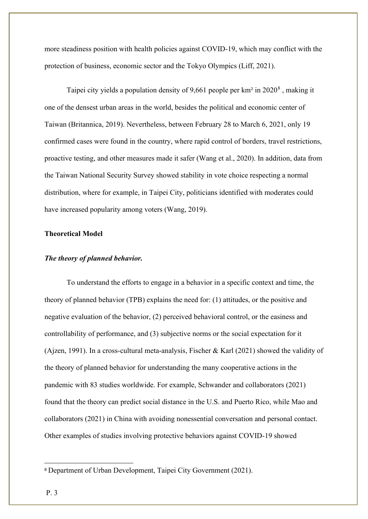more steadiness position with health policies against COVID-19, which may conflict with the protection of business, economic sector and the Tokyo Olympics (Liff, 2021).

Taipei city yields a population density of 9,661 people per km² in 2020[8](#page-4-0) , making it one of the densest urban areas in the world, besides the political and economic center of Taiwan (Britannica, 2019). Nevertheless, between February 28 to March 6, 2021, only 19 confirmed cases were found in the country, where rapid control of borders, travel restrictions, proactive testing, and other measures made it safer (Wang et al., 2020). In addition, data from the Taiwan National Security Survey showed stability in vote choice respecting a normal distribution, where for example, in Taipei City, politicians identified with moderates could have increased popularity among voters (Wang, 2019).

## **Theoretical Model**

#### *The theory of planned behavior.*

To understand the efforts to engage in a behavior in a specific context and time, the theory of planned behavior (TPB) explains the need for: (1) attitudes, or the positive and negative evaluation of the behavior, (2) perceived behavioral control, or the easiness and controllability of performance, and (3) subjective norms or the social expectation for it (Ajzen, 1991). In a cross-cultural meta-analysis, Fischer & Karl (2021) showed the validity of the theory of planned behavior for understanding the many cooperative actions in the pandemic with 83 studies worldwide. For example, Schwander and collaborators (2021) found that the theory can predict social distance in the U.S. and Puerto Rico, while Mao and collaborators (2021) in China with avoiding nonessential conversation and personal contact. Other examples of studies involving protective behaviors against COVID-19 showed

<span id="page-4-0"></span><sup>8</sup> Department of Urban Development, Taipei City Government (2021).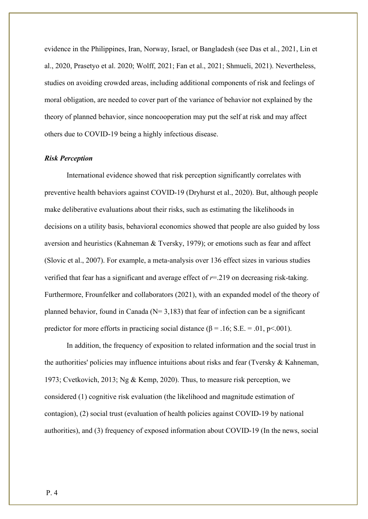evidence in the Philippines, Iran, Norway, Israel, or Bangladesh (see Das et al., 2021, Lin et al., 2020, Prasetyo et al. 2020; Wolff, 2021; Fan et al., 2021; Shmueli, 2021). Nevertheless, studies on avoiding crowded areas, including additional components of risk and feelings of moral obligation, are needed to cover part of the variance of behavior not explained by the theory of planned behavior, since noncooperation may put the self at risk and may affect others due to COVID-19 being a highly infectious disease.

## *Risk Perception*

International evidence showed that risk perception significantly correlates with preventive health behaviors against COVID-19 (Dryhurst et al., 2020). But, although people make deliberative evaluations about their risks, such as estimating the likelihoods in decisions on a utility basis, behavioral economics showed that people are also guided by loss aversion and heuristics (Kahneman & Tversky, 1979); or emotions such as fear and affect (Slovic et al., 2007). For example, a meta-analysis over 136 effect sizes in various studies verified that fear has a significant and average effect of *r*=.219 on decreasing risk-taking. Furthermore, Frounfelker and collaborators (2021), with an expanded model of the theory of planned behavior, found in Canada ( $N= 3,183$ ) that fear of infection can be a significant predictor for more efforts in practicing social distance ( $\beta$  = .16; S.E. = .01, p<.001).

In addition, the frequency of exposition to related information and the social trust in the authorities' policies may influence intuitions about risks and fear (Tversky & Kahneman, 1973; Cvetkovich, 2013; Ng & Kemp, 2020). Thus, to measure risk perception, we considered (1) cognitive risk evaluation (the likelihood and magnitude estimation of contagion), (2) social trust (evaluation of health policies against COVID-19 by national authorities), and (3) frequency of exposed information about COVID-19 (In the news, social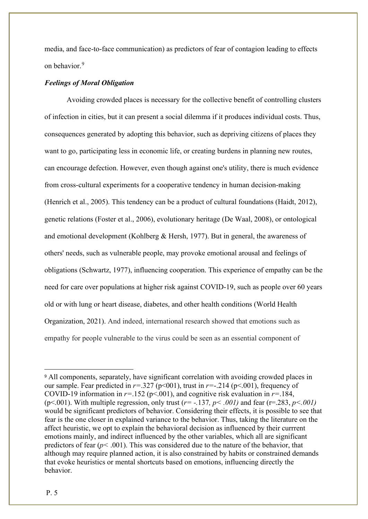media, and face-to-face communication) as predictors of fear of contagion leading to effects on behavior. [9](#page-6-0)

## *Feelings of Moral Obligation*

Avoiding crowded places is necessary for the collective benefit of controlling clusters of infection in cities, but it can present a social dilemma if it produces individual costs. Thus, consequences generated by adopting this behavior, such as depriving citizens of places they want to go, participating less in economic life, or creating burdens in planning new routes, can encourage defection. However, even though against one's utility, there is much evidence from cross-cultural experiments for a cooperative tendency in human decision-making (Henrich et al., 2005). This tendency can be a product of cultural foundations (Haidt, 2012), genetic relations (Foster et al., 2006), evolutionary heritage (De Waal, 2008), or ontological and emotional development (Kohlberg & Hersh, 1977). But in general, the awareness of others' needs, such as vulnerable people, may provoke emotional arousal and feelings of obligations (Schwartz, 1977), influencing cooperation. This experience of empathy can be the need for care over populations at higher risk against COVID-19, such as people over 60 years old or with lung or heart disease, diabetes, and other health conditions (World Health Organization, 2021). And indeed, international research showed that emotions such as empathy for people vulnerable to the virus could be seen as an essential component of

<span id="page-6-0"></span><sup>9</sup> All components, separately, have significant correlation with avoiding crowded places in our sample. Fear predicted in  $r = 0.327$  ( $p < 001$ ), trust in  $r = 0.214$  ( $p < 0.01$ ), frequency of COVID-19 information in  $r=152$  ( $p<0.01$ ), and cognitive risk evaluation in  $r=.184$ , (p<.001). With multiple regression, only trust (*r= -.*137*, p< .001)* and fear (r=.283, *p<.001)*  would be significant predictors of behavior. Considering their effects, it is possible to see that fear is the one closer in explained variance to the behavior. Thus, taking the literature on the affect heuristic, we opt to explain the behavioral decision as influenced by their currrent emotions mainly, and indirect influenced by the other variables, which all are significant predictors of fear (*p<* .001). This was considered due to the nature of the behavior, that although may require planned action, it is also constrained by habits or constrained demands that evoke heuristics or mental shortcuts based on emotions, influencing directly the behavior.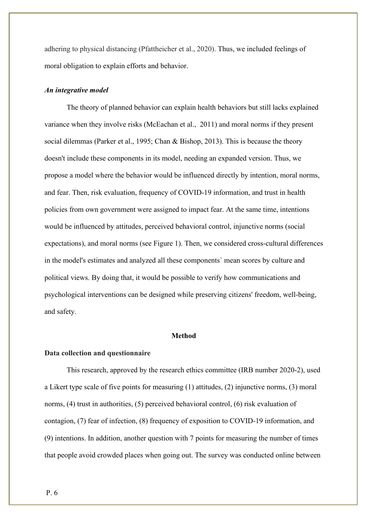adhering to physical distancing (Pfattheicher et al., 2020). Thus, we included feelings of moral obligation to explain efforts and behavior.

## *An integrative model*

The theory of planned behavior can explain health behaviors but still lacks explained variance when they involve risks (McEachan et al., 2011) and moral norms if they present social dilemmas (Parker et al., 1995; Chan & Bishop, 2013). This is because the theory doesn't include these components in its model, needing an expanded version. Thus, we propose a model where the behavior would be influenced directly by intention, moral norms, and fear. Then, risk evaluation, frequency of COVID-19 information, and trust in health policies from own government were assigned to impact fear. At the same time, intentions would be influenced by attitudes, perceived behavioral control, injunctive norms (social expectations), and moral norms (see Figure 1). Then, we considered cross-cultural differences in the model's estimates and analyzed all these components` mean scores by culture and political views. By doing that, it would be possible to verify how communications and psychological interventions can be designed while preserving citizens' freedom, well-being, and safety.

## **Method**

#### **Data collection and questionnaire**

This research, approved by the research ethics committee (IRB number 2020-2), used a Likert type scale of five points for measuring (1) attitudes, (2) injunctive norms, (3) moral norms, (4) trust in authorities, (5) perceived behavioral control, (6) risk evaluation of contagion, (7) fear of infection, (8) frequency of exposition to COVID-19 information, and (9) intentions. In addition, another question with 7 points for measuring the number of times that people avoid crowded places when going out. The survey was conducted online between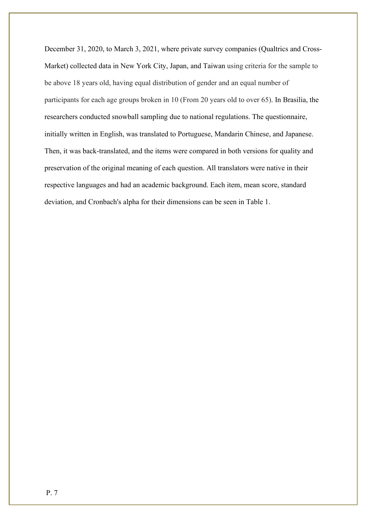December 31, 2020, to March 3, 2021, where private survey companies (Qualtrics and Cross-Market) collected data in New York City, Japan, and Taiwan using criteria for the sample to be above 18 years old, having equal distribution of gender and an equal number of participants for each age groups broken in 10 (From 20 years old to over 65). In Brasilia, the researchers conducted snowball sampling due to national regulations. The questionnaire, initially written in English, was translated to Portuguese, Mandarin Chinese, and Japanese. Then, it was back-translated, and the items were compared in both versions for quality and preservation of the original meaning of each question. All translators were native in their respective languages and had an academic background. Each item, mean score, standard deviation, and Cronbach's alpha for their dimensions can be seen in Table 1.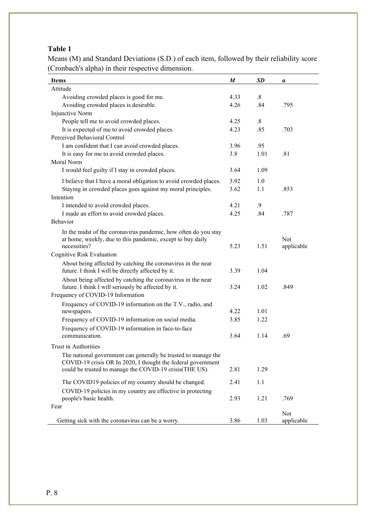## **Table 1**

Means (M) and Standard Deviations (S.D.) of each item, followed by their reliability score (Cronbach's alpha) in their respective dimension.

| <b>Items</b>                                                      | M    | SD                | $\alpha$   |
|-------------------------------------------------------------------|------|-------------------|------------|
| Attitude                                                          |      |                   |            |
| Avoiding crowded places is good for me.                           | 4.33 | $\boldsymbol{.8}$ |            |
| Avoiding crowded places is desirable.                             | 4.26 | .84               | .795       |
| Injunctive Norm                                                   |      |                   |            |
| People tell me to avoid crowded places.                           | 4.25 | $\boldsymbol{.8}$ |            |
| It is expected of me to avoid crowded places.                     | 4.23 | .85               | .703       |
| Perceived Behavioral Control                                      |      |                   |            |
| I am confident that I can avoid crowded places.                   | 3.96 | .95               |            |
| It is easy for me to avoid crowded places.                        | 3.8  | 1.01              | .81        |
| Moral Norm                                                        |      |                   |            |
| I would feel guilty if I stay in crowded places.                  | 3.64 | 1.09              |            |
| I believe that I have a moral obligation to avoid crowded places. | 3.92 | 1.0               |            |
| Staying in crowded places goes against my moral principles.       | 3.62 | 1.1               | .853       |
| Intention                                                         |      |                   |            |
| I intended to avoid crowded places.                               | 4.21 | .9                |            |
| I made an effort to avoid crowded places.                         | 4.25 | .84               | .787       |
| <b>Behavior</b>                                                   |      |                   |            |
| In the midst of the coronavirus pandemic, how often do you stay   |      |                   |            |
| at home, weekly, due to this pandemic, except to buy daily        |      |                   | <b>Not</b> |
| necessities?                                                      | 5.23 | 1.51              | applicable |
| Cognitive Risk Evaluation                                         |      |                   |            |
| About being affected by catching the coronavirus in the near      |      |                   |            |
| future. I think I will be directly affected by it.                | 3.39 | 1.04              |            |
| About being affected by catching the coronavirus in the near      |      |                   |            |
| future. I think I will seriously be affected by it.               | 3.24 | 1.02              | .849       |
| Frequency of COVID-19 Information                                 |      |                   |            |
| Frequency of COVID-19 information on the T.V., radio, and         |      |                   |            |
| newspapers.                                                       | 4.22 | 1.01              |            |
| Frequency of COVID-19 information on social media.                | 3.85 | 1.22              |            |
| Frequency of COVID-19 information in face-to-face                 |      |                   |            |
| communication.                                                    | 3.64 | 1.14              | .69        |
| Trust in Authorities                                              |      |                   |            |
| The national government can generally be trusted to manage the    |      |                   |            |
| COVID-19 crisis OR In 2020, I thought the federal government      |      |                   |            |
| could be trusted to manage the COVID-19 crisis(THE US).           | 2.81 | 1.29              |            |
| The COVID19 policies of my country should be changed.             | 2.41 | 1.1               |            |
| COVID-19 policies in my country are effective in protecting       |      |                   |            |
| people's basic health.                                            | 2.93 | 1.21              | .769       |
| Fear                                                              |      |                   |            |
|                                                                   |      |                   | Not        |
| Getting sick with the coronavirus can be a worry.                 | 3.86 | 1.03              | applicable |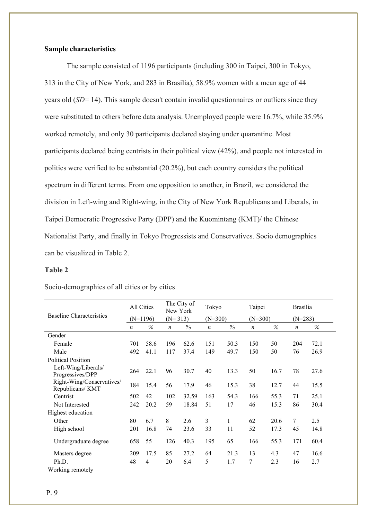## **Sample characteristics**

The sample consisted of 1196 participants (including 300 in Taipei, 300 in Tokyo, 313 in the City of New York, and 283 in Brasilia), 58.9% women with a mean age of 44 years old (*SD*= 14). This sample doesn't contain invalid questionnaires or outliers since they were substituted to others before data analysis. Unemployed people were 16.7%, while 35.9% worked remotely, and only 30 participants declared staying under quarantine. Most participants declared being centrists in their political view (42%), and people not interested in politics were verified to be substantial (20.2%), but each country considers the political spectrum in different terms. From one opposition to another, in Brazil, we considered the division in Left-wing and Right-wing, in the City of New York Republicans and Liberals, in Taipei Democratic Progressive Party (DPP) and the Kuomintang (KMT)/ the Chinese Nationalist Party, and finally in Tokyo Progressists and Conservatives. Socio demographics can be visualized in Table 2.

## **Table 2**

| Socio-demographics of all cities or by cities |  |  |  |  |
|-----------------------------------------------|--|--|--|--|
|-----------------------------------------------|--|--|--|--|

|                                               |                  | All Cities     |                  | The City of<br>New York |                  | Tokyo     |                  | Taipei    |                  | <b>Brasília</b> |
|-----------------------------------------------|------------------|----------------|------------------|-------------------------|------------------|-----------|------------------|-----------|------------------|-----------------|
| <b>Baseline Characteristics</b>               |                  | $(N=1196)$     |                  | $(N=313)$               |                  | $(N=300)$ |                  | $(N=300)$ |                  | $(N=283)$       |
|                                               | $\boldsymbol{n}$ | %              | $\boldsymbol{n}$ | %                       | $\boldsymbol{n}$ | $\%$      | $\boldsymbol{n}$ | %         | $\boldsymbol{n}$ | $\%$            |
| Gender                                        |                  |                |                  |                         |                  |           |                  |           |                  |                 |
| Female                                        | 701              | 58.6           | 196              | 62.6                    | 151              | 50.3      | 150              | 50        | 204              | 72.1            |
| Male                                          | 492              | 41.1           | 117              | 37.4                    | 149              | 49.7      | 150              | 50        | 76               | 26.9            |
| <b>Political Position</b>                     |                  |                |                  |                         |                  |           |                  |           |                  |                 |
| Left-Wing/Liberals/<br>Progressives/DPP       | 264              | 22.1           | 96               | 30.7                    | 40               | 13.3      | 50               | 16.7      | 78               | 27.6            |
| Right-Wing/Conservatives/<br>Republicans/ KMT | 184              | 15.4           | 56               | 17.9                    | 46               | 15.3      | 38               | 12.7      | 44               | 15.5            |
| Centrist                                      | 502              | 42             | 102              | 32.59                   | 163              | 54.3      | 166              | 55.3      | 71               | 25.1            |
| Not Interested                                | 242              | 20.2           | 59               | 18.84                   | 51               | 17        | 46               | 15.3      | 86               | 30.4            |
| Highest education                             |                  |                |                  |                         |                  |           |                  |           |                  |                 |
| Other                                         | 80               | 6.7            | 8                | 2.6                     | 3                | 1         | 62               | 20.6      | 7                | 2.5             |
| High school                                   | 201              | 16.8           | 74               | 23.6                    | 33               | 11        | 52               | 17.3      | 45               | 14.8            |
| Undergraduate degree                          | 658              | 55             | 126              | 40.3                    | 195              | 65        | 166              | 55.3      | 171              | 60.4            |
| Masters degree                                | 209              | 17.5           | 85               | 27.2                    | 64               | 21.3      | 13               | 4.3       | 47               | 16.6            |
| Ph.D.                                         | 48               | $\overline{4}$ | 20               | 6.4                     | 5                | 1.7       | 7                | 2.3       | 16               | 2.7             |
| Working remotely                              |                  |                |                  |                         |                  |           |                  |           |                  |                 |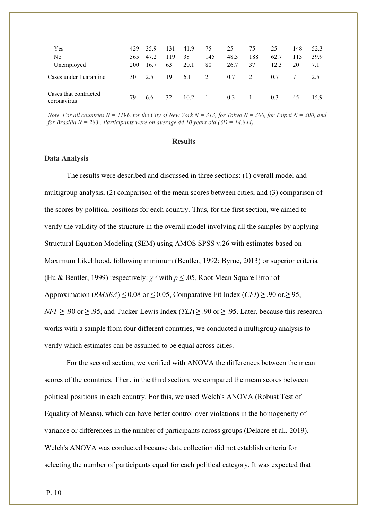| Yes<br>No<br>Unemployed              | 429<br>565<br>200 | 35.9<br>47.2<br>16.7 | 131<br>119<br>63 | 41.9<br>38<br>20.1 | 75<br>145<br>80 | 25<br>48.3<br>26.7 | 75<br>188<br>37 | 25<br>62.7<br>12.3 | 148<br>113<br>20 | 52.3<br>39.9<br>7.1 |
|--------------------------------------|-------------------|----------------------|------------------|--------------------|-----------------|--------------------|-----------------|--------------------|------------------|---------------------|
| Cases under 1 uarantine              | 30                | 2.5                  | 19               | 6.1                | 2               | 0.7                | 2               | 0.7                |                  | 2.5                 |
| Cases that contracted<br>coronavirus | 79                | 6.6                  | 32               | 10.2               | $\mathbf{1}$    | 0.3                |                 | 0.3                | 45               | 15.9                |

*Note. For all countries N = 1196, for the City of New York N = 313, for Tokyo N = 300, for Taipei N = 300, and for Brasilia N = 283 . Participants were on average 44.10 years old (SD = 14.844).*

#### **Results**

## **Data Analysis**

The results were described and discussed in three sections: (1) overall model and multigroup analysis, (2) comparison of the mean scores between cities, and (3) comparison of the scores by political positions for each country. Thus, for the first section, we aimed to verify the validity of the structure in the overall model involving all the samples by applying Structural Equation Modeling (SEM) using AMOS SPSS v.26 with estimates based on Maximum Likelihood, following minimum (Bentler, 1992; Byrne, 2013) or superior criteria (Hu & Bentler, 1999) respectively: *χ ²* with *p* ≤ .05*,* Root Mean Square Error of Approximation (*RMSEA*)  $\leq$  0.08 or  $\leq$  0.05, Comparative Fit Index (*CFI*)  $\geq$  .90 or. $\geq$  95, *NFI* ≥ .90 or ≥ .95, and Tucker-Lewis Index (*TLI*) ≥ .90 or ≥ .95. Later, because this research works with a sample from four different countries, we conducted a multigroup analysis to verify which estimates can be assumed to be equal across cities.

For the second section, we verified with ANOVA the differences between the mean scores of the countries. Then, in the third section, we compared the mean scores between political positions in each country. For this, we used Welch's ANOVA (Robust Test of Equality of Means), which can have better control over violations in the homogeneity of variance or differences in the number of participants across groups (Delacre et al., 2019). Welch's ANOVA was conducted because data collection did not establish criteria for selecting the number of participants equal for each political category. It was expected that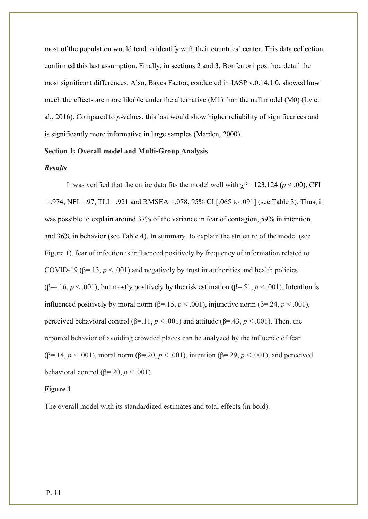most of the population would tend to identify with their countries` center. This data collection confirmed this last assumption. Finally, in sections 2 and 3, Bonferroni post hoc detail the most significant differences. Also, Bayes Factor, conducted in JASP v.0.14.1.0, showed how much the effects are more likable under the alternative (M1) than the null model (M0) (Ly et al., 2016). Compared to *p*-values, this last would show higher reliability of significances and is significantly more informative in large samples (Marden, 2000).

## **Section 1: Overall model and Multi-Group Analysis**

### *Results*

It was verified that the entire data fits the model well with  $\chi^2 = 123.124$  ( $p < .00$ ), CFI = .974, NFI= .97, TLI= .921 and RMSEA= .078, 95% CI [.065 to .091] (see Table 3). Thus, it was possible to explain around 37% of the variance in fear of contagion, 59% in intention, and 36% in behavior (see Table 4). In summary, to explain the structure of the model (see Figure 1), fear of infection is influenced positively by frequency of information related to COVID-19 ( $\beta$ =.13,  $p$  < .001) and negatively by trust in authorities and health policies ( $\beta$ =-.16, *p* < .001), but mostly positively by the risk estimation ( $\beta$ =.51, *p* < .001). Intention is influenced positively by moral norm (β=.15,  $p < .001$ ), injunctive norm (β=.24,  $p < .001$ ), perceived behavioral control (β=.11,  $p < .001$ ) and attitude (β=.43,  $p < .001$ ). Then, the reported behavior of avoiding crowded places can be analyzed by the influence of fear (β=.14, *p* < .001), moral norm (β=.20, *p* < .001), intention (β=.29, *p* < .001), and perceived behavioral control ( $\beta$ =.20,  $p$  < .001).

#### **Figure 1**

The overall model with its standardized estimates and total effects (in bold).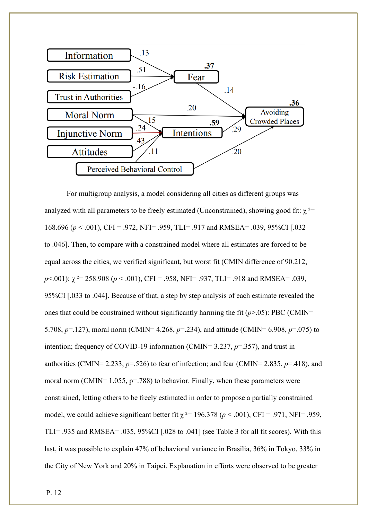

For multigroup analysis, a model considering all cities as different groups was analyzed with all parameters to be freely estimated (Unconstrained), showing good fit:  $\chi^2$ = 168.696 (*p* < .001), CFI = .972, NFI= .959, TLI= .917 and RMSEA= .039, 95%CI [.032 to .046]. Then, to compare with a constrained model where all estimates are forced to be equal across the cities, we verified significant, but worst fit (CMIN difference of 90.212, *p*<.001):  $\chi$ <sup>2</sup> = 258.908 (*p* < .001), CFI = .958, NFI= .937, TLI= .918 and RMSEA= .039, 95%CI [.033 to .044]. Because of that, a step by step analysis of each estimate revealed the ones that could be constrained without significantly harming the fit (*p*>.05): PBC (CMIN= 5.708, *p*=.127), moral norm (CMIN= 4.268, *p*=.234), and attitude (CMIN= 6.908, *p*=.075) to intention; frequency of COVID-19 information (CMIN= 3.237, *p*=.357), and trust in authorities (CMIN= 2.233, *p*=.526) to fear of infection; and fear (CMIN= 2.835, *p*=.418), and moral norm (CMIN=  $1.055$ , p=.788) to behavior. Finally, when these parameters were constrained, letting others to be freely estimated in order to propose a partially constrained model, we could achieve significant better fit  $\chi^2$  = 196.378 ( $p$  < .001), CFI = .971, NFI= .959, TLI= .935 and RMSEA= .035, 95%CI [.028 to .041] (see Table 3 for all fit scores). With this last, it was possible to explain 47% of behavioral variance in Brasilia, 36% in Tokyo, 33% in the City of New York and 20% in Taipei. Explanation in efforts were observed to be greater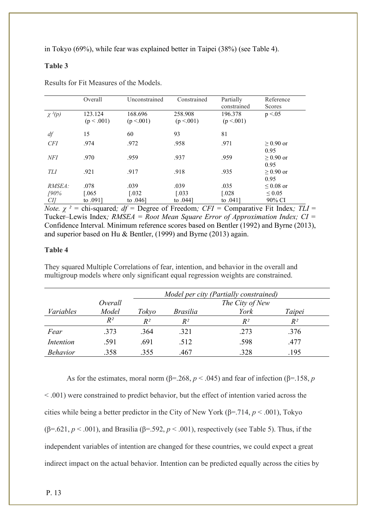in Tokyo (69%), while fear was explained better in Taipei (38%) (see Table 4).

## **Table 3**

|             | Overall               | Unconstrained         | Constrained           | Partially<br>constrained | Reference<br>Scores    |
|-------------|-----------------------|-----------------------|-----------------------|--------------------------|------------------------|
| $\chi^2(p)$ | 123.124<br>(p < .001) | 168.696<br>(p < .001) | 258.908<br>(p < .001) | 196.378<br>(p < .001)    | p < 0.05               |
| df          | 15                    | 60                    | 93                    | 81                       |                        |
| <b>CFI</b>  | .974                  | .972                  | .958                  | .971                     | $\geq 0.90$ or<br>0.95 |
| NFI         | .970                  | .959                  | .937                  | .959                     | $\geq 0.90$ or<br>0.95 |
| TLI         | .921                  | .917                  | .918                  | .935                     | $\geq 0.90$ or<br>0.95 |
| RMSEA:      | .078                  | .039                  | .039                  | .035                     | $\leq 0.08$ or         |
| 190%        | 0.065                 | $[.032]$              | $\left[ .033\right]$  | $\lceil.028\rceil$       | $\leq 0.05$            |
| CI]         | to .091]              | to $.046$             | to .044<br>$\sim$ $-$ | to .041]                 | 90% CI                 |

Results for Fit Measures of the Models.

*Note. χ ² =* chi-squared*; df =* Degree of Freedom*; CFI =* Comparative Fit Index*; TLI* = Tucker–Lewis Index*; RMSEA = Root Mean Square Error of Approximation Index; CI =*  Confidence Interval*.* Minimum reference scores based on Bentler (1992) and Byrne (2013), and superior based on Hu & Bentler, (1999) and Byrne (2013) again.

## **Table 4**

They squared Multiple Correlations of fear, intention, and behavior in the overall and multigroup models where only significant equal regression weights are constrained.

|                  |         |       | Model per city (Partially constrained) |       |        |  |  |  |  |  |  |  |
|------------------|---------|-------|----------------------------------------|-------|--------|--|--|--|--|--|--|--|
|                  | Overall |       | The City of New                        |       |        |  |  |  |  |  |  |  |
| Variables        | Model   | Tokyo | <i>Brasilia</i>                        | York  | Taipei |  |  |  |  |  |  |  |
|                  | $R^2$   | $R^2$ | $R^2$                                  | $R^2$ | $R^2$  |  |  |  |  |  |  |  |
| Fear             | .373    | .364  | .321                                   | .273  | .376   |  |  |  |  |  |  |  |
| <i>Intention</i> | .591    | .691  | .512                                   | .598  | .477   |  |  |  |  |  |  |  |
| <b>Behavior</b>  | .358    | .355  | .467                                   | .328  | .195   |  |  |  |  |  |  |  |

As for the estimates, moral norm ( $\beta$ =.268,  $p < .045$ ) and fear of infection ( $\beta$ =.158,  $p$ 

< .001) were constrained to predict behavior, but the effect of intention varied across the cities while being a better predictor in the City of New York (β=.714, *p* < .001), Tokyo ( $\beta$ =.621,  $p < .001$ ), and Brasilia ( $\beta$ =.592,  $p < .001$ ), respectively (see Table 5). Thus, if the independent variables of intention are changed for these countries, we could expect a great indirect impact on the actual behavior. Intention can be predicted equally across the cities by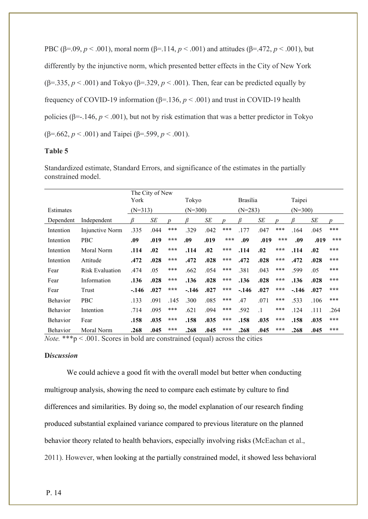PBC (β=.09, *p* < .001), moral norm (β=.114, *p* < .001) and attitudes (β=.472, *p* < .001), but differently by the injunctive norm, which presented better effects in the City of New York ( $\beta$ =.335,  $p < .001$ ) and Tokyo ( $\beta$ =.329,  $p < .001$ ). Then, fear can be predicted equally by frequency of COVID-19 information (β=.136, *p* < .001) and trust in COVID-19 health policies ( $\beta$ =-.146,  $p < .001$ ), but not by risk estimation that was a better predictor in Tokyo (β=.662, *p* < .001) and Taipei (β=.599, *p* < .001).

## **Table 5**

Standardized estimate, Standard Errors, and significance of the estimates in the partially constrained model.

|                 |                        |         | The City of New |                  |         |           |                   |         |                 |                     |         |           |                  |  |  |
|-----------------|------------------------|---------|-----------------|------------------|---------|-----------|-------------------|---------|-----------------|---------------------|---------|-----------|------------------|--|--|
|                 |                        | York    |                 |                  | Tokyo   |           |                   |         | <b>Brasília</b> |                     |         | Taipei    |                  |  |  |
| Estimates       |                        |         | $(N=313)$       |                  |         | $(N=300)$ |                   |         | $(N=283)$       |                     |         | $(N=300)$ |                  |  |  |
| Dependent       | Independent            |         | SE              | $\boldsymbol{D}$ | ß       | SE        | $\boldsymbol{v}$  |         | SE              | $\boldsymbol{D}$    |         | SE        | $\boldsymbol{p}$ |  |  |
| Intention       | Injunctive Norm        | .335    | .044            | ***              | .329    | .042      | ***               | .177    | .047            | ***                 | .164    | .045      | ***              |  |  |
| Intention       | <b>PBC</b>             | .09     | .019            | $* * *$          | .09     | .019      | $\star\star\star$ | .09     | .019            | $***$               | .09     | .019      | ***              |  |  |
| Intention       | Moral Norm             | .114    | .02             | $* * *$          | .114    | .02       | $* * *$           | .114    | .02             | $\star\star\star$   | .114    | .02       | ***              |  |  |
| Intention       | Attitude               | .472    | .028            | $* * *$          | .472    | .028      | $* * *$           | .472    | .028            | $\star\star\star$   | .472    | .028      | ***              |  |  |
| Fear            | <b>Risk Evaluation</b> | .474    | .05             | ***              | .662    | .054      | ***               | .381    | .043            | ***                 | .599    | .05       | ***              |  |  |
| Fear            | Information            | .136    | .028            | $***$            | .136    | .028      | $* * *$           | .136    | .028            | $\star \star \star$ | .136    | .028      | ***              |  |  |
| Fear            | Trust                  | $-.146$ | .027            | $***$            | $-.146$ | .027      | ***               | $-.146$ | .027            | $\star \star \star$ | $-.146$ | .027      | ***              |  |  |
| <b>Behavior</b> | <b>PBC</b>             | .133    | .091            | .145             | .300    | .085      | ***               | .47     | .071            | ***                 | .533    | .106      | ***              |  |  |
| Behavior        | Intention              | .714    | .095            | ***              | .621    | .094      | ***               | .592    | $\cdot$ 1       | ***                 | .124    | .111      | .264             |  |  |
| Behavior        | Fear                   | .158    | .035            | ***              | .158    | .035      | $* * *$           | .158    | .035            | ***                 | .158    | .035      | ***              |  |  |
| Behavior        | Moral Norm             | .268    | .045            | ***              | .268    | .045      | $* * *$           | .268    | .045            | $\star \star \star$ | .268    | .045      | ***              |  |  |

*Note.* \*\*\*p < .001. Scores in bold are constrained (equal) across the cities

## **D***iscussion*

We could achieve a good fit with the overall model but better when conducting multigroup analysis, showing the need to compare each estimate by culture to find differences and similarities. By doing so, the model explanation of our research finding produced substantial explained variance compared to previous literature on the planned behavior theory related to health behaviors, especially involving risks (McEachan et al., 2011). However, when looking at the partially constrained model, it showed less behavioral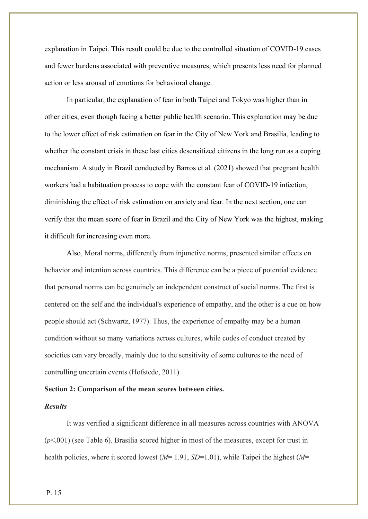explanation in Taipei. This result could be due to the controlled situation of COVID-19 cases and fewer burdens associated with preventive measures, which presents less need for planned action or less arousal of emotions for behavioral change.

In particular, the explanation of fear in both Taipei and Tokyo was higher than in other cities, even though facing a better public health scenario. This explanation may be due to the lower effect of risk estimation on fear in the City of New York and Brasilia, leading to whether the constant crisis in these last cities desensitized citizens in the long run as a coping mechanism. A study in Brazil conducted by Barros et al. (2021) showed that pregnant health workers had a habituation process to cope with the constant fear of COVID-19 infection, diminishing the effect of risk estimation on anxiety and fear. In the next section, one can verify that the mean score of fear in Brazil and the City of New York was the highest, making it difficult for increasing even more.

Also, Moral norms, differently from injunctive norms, presented similar effects on behavior and intention across countries. This difference can be a piece of potential evidence that personal norms can be genuinely an independent construct of social norms. The first is centered on the self and the individual's experience of empathy, and the other is a cue on how people should act (Schwartz, 1977). Thus, the experience of empathy may be a human condition without so many variations across cultures, while codes of conduct created by societies can vary broadly, mainly due to the sensitivity of some cultures to the need of controlling uncertain events (Hofstede, 2011).

## **Section 2: Comparison of the mean scores between cities.**

## *Results*

It was verified a significant difference in all measures across countries with ANOVA (*p*<.001) (see Table 6). Brasilia scored higher in most of the measures, except for trust in health policies, where it scored lowest (*M*= 1.91, *SD*=1.01), while Taipei the highest (*M*=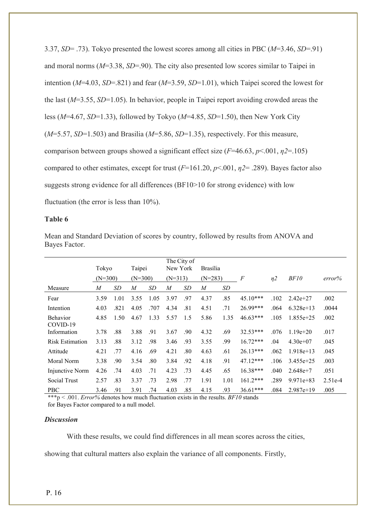3.37, *SD*= .73). Tokyo presented the lowest scores among all cities in PBC (*M*=3.46, *SD*=.91) and moral norms (*M*=3.38, *SD*=.90). The city also presented low scores similar to Taipei in intention (*M*=4.03, *SD*=.821) and fear (*M*=3.59, *SD*=1.01), which Taipei scored the lowest for the last (*M*=3.55, *SD*=1.05). In behavior, people in Taipei report avoiding crowded areas the less (*M*=4.67, *SD*=1.33), followed by Tokyo (*M*=4.85, *SD*=1.50), then New York City (*M*=5.57, *SD*=1.503) and Brasilia (*M*=5.86, *SD*=1.35), respectively. For this measure, comparison between groups showed a significant effect size (*F*=46.63, *p*<.001, *η2*=.105) compared to other estimates, except for trust (*F*=161.20, *p*<.001, *η2*= .289). Bayes factor also suggests strong evidence for all differences (BF10>10 for strong evidence) with low fluctuation (the error is less than 10%).

## **Table 6**

|                                    | Tokyo                        |               | Taipei         |      | New York       | The City of | <b>Brasília</b> |      |            |                |               |           |
|------------------------------------|------------------------------|---------------|----------------|------|----------------|-------------|-----------------|------|------------|----------------|---------------|-----------|
|                                    |                              |               |                |      |                |             |                 |      |            |                |               |           |
|                                    | $(N=300)$                    |               | $(N=300)$      |      | $(N=313)$      |             | $(N=283)$       |      | $\sqrt{F}$ | n <sub>2</sub> | BF10          | error%    |
| Measure                            | M                            | SD            | $\overline{M}$ | SD   | $\overline{M}$ | SD          | $\overline{M}$  | SD   |            |                |               |           |
| Fear                               | 3.59                         | 1.01          | 3.55           | 1.05 | 3.97           | .97         | 4.37            | .85  | $45.10***$ | .102           | $2.42e+27$    | .002      |
| Intention                          | 4.03                         | .821          | 4.05           | .707 | 4.34           | .81         | 4.51            | .71  | 26.99***   | .064           | $6.328e+13$   | .0044     |
| Behavior<br>COVID-19               | 4.85                         | 1.50          | 4.67           | 1.33 | 5.57           | 1.5         | 5.86            | 1.35 | $46.63***$ | .105           | $1.855e + 25$ | .002      |
| Information                        | 3.78                         | .88           | 3.88           | .91  | 3.67           | .90         | 4.32            | .69  | $32.53***$ | .076           | $1.19e + 20$  | .017      |
| <b>Risk Estimation</b>             | 3.13                         | .88           | 3.12           | .98  | 3.46           | .93         | 3.55            | .99  | $16.72***$ | .04            | $4.30e+07$    | .045      |
| Attitude                           | 4.21                         | .77           | 4.16           | .69  | 4.21           | .80         | 4.63            | .61  | $26.13***$ | .062           | $1.918e+13$   | .045      |
| Moral Norm                         | 3.38                         | .90           | 3.54           | .80  | 3.84           | .92         | 4.18            | .91  | 47.12***   | .106           | $3.455e+25$   | .003      |
| Injunctive Norm                    | 4.26                         | .74           | 4.03           | .71  | 4.23           | .73         | 4.45            | .65  | $16.38***$ | .040           | $2.648e+7$    | .051      |
| Social Trust                       | 2.57                         | .83           | 3.37           | .73  | 2.98           | .77         | 1.91            | 1.01 | $161.2***$ | .289           | $9.971e+83$   | $2.51e-4$ |
| <b>PBC</b><br>$\sim$ $\sim$ $\sim$ | 3.46<br>$\sim$ $\sim$ $\sim$ | .91<br>$\sim$ | 3.91           | .74  | 4.03           | .85         | 4.15            | .93  | $36.61***$ | .084           | $2.987e+19$   | .005      |

Mean and Standard Deviation of scores by country, followed by results from ANOVA and Bayes Factor.

\*\*\*p < .001. *Error%* denotes how much fluctuation exists in the results. *BF10* stands for Bayes Factor compared to a null model.

## *Discussion*

With these results, we could find differences in all mean scores across the cities,

showing that cultural matters also explain the variance of all components. Firstly,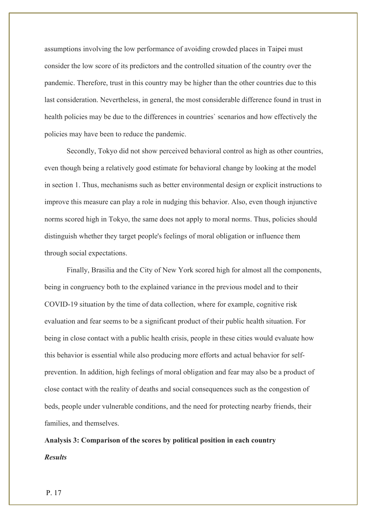assumptions involving the low performance of avoiding crowded places in Taipei must consider the low score of its predictors and the controlled situation of the country over the pandemic. Therefore, trust in this country may be higher than the other countries due to this last consideration. Nevertheless, in general, the most considerable difference found in trust in health policies may be due to the differences in countries` scenarios and how effectively the policies may have been to reduce the pandemic.

Secondly, Tokyo did not show perceived behavioral control as high as other countries, even though being a relatively good estimate for behavioral change by looking at the model in section 1. Thus, mechanisms such as better environmental design or explicit instructions to improve this measure can play a role in nudging this behavior. Also, even though injunctive norms scored high in Tokyo, the same does not apply to moral norms. Thus, policies should distinguish whether they target people's feelings of moral obligation or influence them through social expectations.

Finally, Brasilia and the City of New York scored high for almost all the components, being in congruency both to the explained variance in the previous model and to their COVID-19 situation by the time of data collection, where for example, cognitive risk evaluation and fear seems to be a significant product of their public health situation. For being in close contact with a public health crisis, people in these cities would evaluate how this behavior is essential while also producing more efforts and actual behavior for selfprevention. In addition, high feelings of moral obligation and fear may also be a product of close contact with the reality of deaths and social consequences such as the congestion of beds, people under vulnerable conditions, and the need for protecting nearby friends, their families, and themselves.

**Analysis 3: Comparison of the scores by political position in each country** *Results*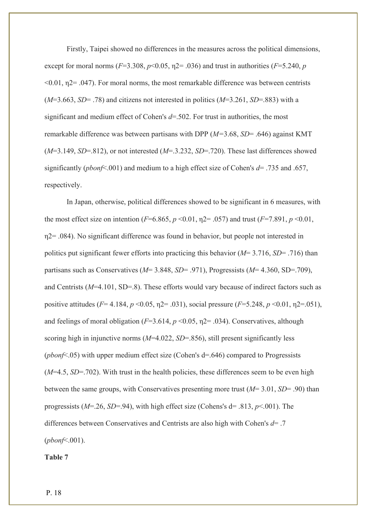Firstly, Taipei showed no differences in the measures across the political dimensions, except for moral norms ( $F=3.308$ ,  $p<0.05$ ,  $p=0.036$ ) and trust in authorities ( $F=5.240$ ,  $p=5.240$  $\leq 0.01$ ,  $\eta$ 2= .047). For moral norms, the most remarkable difference was between centrists  $(M=3.663, SD= .78)$  and citizens not interested in politics  $(M=3.261, SD= .883)$  with a significant and medium effect of Cohen's *d*=.502. For trust in authorities, the most remarkable difference was between partisans with DPP (*M=*3.68, *SD*= .646) against KMT (*M*=3.149, *SD*=.812), or not interested (*M*=.3.232, *SD*=.720). These last differences showed significantly (*pbonf*<.001) and medium to a high effect size of Cohen's *d*= .735 and .657, respectively.

In Japan, otherwise, political differences showed to be significant in 6 measures, with the most effect size on intention ( $F=6.865$ ,  $p < 0.01$ ,  $p = .057$ ) and trust ( $F=7.891$ ,  $p < 0.01$ , η2= .084). No significant difference was found in behavior, but people not interested in politics put significant fewer efforts into practicing this behavior (*M*= 3.716, *SD*= .716) than partisans such as Conservatives (*M*= 3.848, *SD*= .971), Progressists (*M*= 4.360, SD=.709), and Centrists (*M*=4.101, SD=.8). These efforts would vary because of indirect factors such as positive attitudes (*F*= 4.184, *p* <0.05, η2= .031), social pressure (*F*=5.248, *p* <0.01, η2=.051), and feelings of moral obligation  $(F=3.614, p \le 0.05, \eta2 = .034)$ . Conservatives, although scoring high in injunctive norms (*M*=4.022, *SD*=.856), still present significantly less (*pbonf*<.05) with upper medium effect size (Cohen's d=.646) compared to Progressists  $(M=4.5, SD=.702)$ . With trust in the health policies, these differences seem to be even high between the same groups, with Conservatives presenting more trust (*M*= 3.01, *SD*= .90) than progressists (*M*=.26, *SD*=.94), with high effect size (Cohens's d= .813, *p*<.001). The differences between Conservatives and Centrists are also high with Cohen's *d*= .7 (*pbonf*<.001).

**Table 7**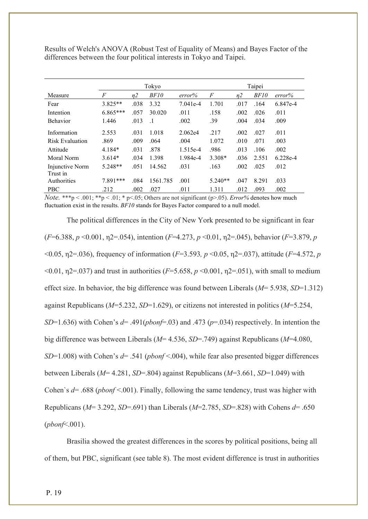Results of Welch's ANOVA (Robust Test of Equality of Means) and Bayes Factor of the differences between the four political interests in Tokyo and Taipei.

|                 |                |                | Tokyo     |            | Taipei    |      |       |          |  |
|-----------------|----------------|----------------|-----------|------------|-----------|------|-------|----------|--|
| Measure         | $\overline{F}$ | n <sub>2</sub> | BF10      | error%     | F         | n2   | BF10  | error%   |  |
| Fear            | $3.825**$      | .038           | 3.32      | $7.041e-4$ | 1.701     | .017 | .164  | 6.847e-4 |  |
| Intention       | $6.865***$     | .057           | 30.020    | .011       | .158      | .002 | .026  | .011     |  |
| <b>Behavior</b> | 1.446          | .013           | $\cdot$ 1 | .002       | .39       | .004 | .034  | .009     |  |
| Information     | 2.553          | .031           | 1.018     | 2.062e4    | .217      | .002 | .027  | .011     |  |
| Risk Evaluation | .869           | .009           | .064      | .004       | 1.072     | .010 | .071  | .003     |  |
| Attitude        | $4.184*$       | .031           | .878      | $1.515e-4$ | .986      | .013 | .106  | .002     |  |
| Moral Norm      | $3.614*$       | .034           | 1.398     | 1.984e-4   | $3.308*$  | .036 | 2.551 | 6.228e-4 |  |
| Injunctive Norm | $5.248**$      | .051           | 14.562    | .031       | .163      | .002 | .025  | .012     |  |
| Trust in        |                |                |           |            |           |      |       |          |  |
| Authorities     | 7.891***       | .084           | 1561.785  | .001       | $5.240**$ | .047 | 8.291 | .033     |  |
| <b>PBC</b>      | .212           | .002           | .027      | .011       | 1.311     | .012 | .093  | .002     |  |

*Note.* \*\*\*p < .001; \*\*p < .01; \* p<.05; Others are not significant (p>.05). *Error%* denotes how much fluctuation exist in the results. *BF10* stands for Bayes Factor compared to a null model.

The political differences in the City of New York presented to be significant in fear (*F*=6.388, *p* <0.001, η2=.054), intention (*F*=4.273, *p* <0.01, η2=.045), behavior (*F*=3.879, *p* <0.05, η2=.036), frequency of information (*F*=3.593*, p* <0.05, η2=.037), attitude (*F*=4.572, *p*  $\leq 0.01$ ,  $\eta$ 2=.037) and trust in authorities (*F*=5.658, *p*  $\leq 0.001$ ,  $\eta$ 2=.051), with small to medium effect size. In behavior, the big difference was found between Liberals (*M*= 5.938, *SD*=1.312) against Republicans (*M*=5.232, *SD*=1.629), or citizens not interested in politics (*M*=5.254, *SD*=1.636) with Cohen's *d*= .491(*pbonf*=.03) and .473 (*p*=.034) respectively. In intention the big difference was between Liberals (*M*= 4.536, *SD*=.749) against Republicans (*M*=4.080, *SD*=1.008) with Cohen's *d*= .541 (*pbonf* <.004), while fear also presented bigger differences between Liberals (*M*= 4.281, *SD*=.804) against Republicans (*M*=3.661, *SD*=1.049) with Cohen`s *d*= .688 (*pbonf* <.001). Finally, following the same tendency, trust was higher with Republicans (*M*= 3.292, *SD*=.691) than Liberals (*M*=2.785, *SD*=.828) with Cohens *d*= .650 (*pbonf*<.001).

Brasilia showed the greatest differences in the scores by political positions, being all of them, but PBC, significant (see table 8). The most evident difference is trust in authorities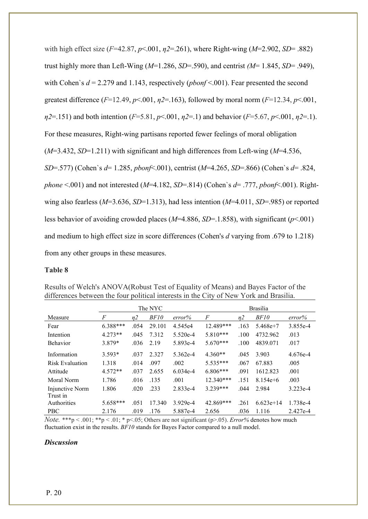with high effect size (*F*=42.87, *p*<.001, *η2*=.261), where Right-wing (*M*=2.902, *SD*= .882) trust highly more than Left-Wing (*M*=1.286, *SD*=.590), and centrist *(M*= 1.845, *SD*= .949), with Cohen`s *d* = 2.279 and 1.143, respectively (*pbonf* <.001). Fear presented the second greatest difference  $(F=12.49, p<0.01, \eta2=163)$ , followed by moral norm  $(F=12.34, p<0.01, \eta2=163)$ *η2*=.151) and both intention (*F*=5.81, *p*<.001, *η2*=.1) and behavior (*F*=5.67, *p*<.001, *η2*=.1). For these measures, Right-wing partisans reported fewer feelings of moral obligation (*M*=3.432, *SD*=1.211) with significant and high differences from Left-wing (*M*=4.536, *SD*=.577) (Cohen`s *d*= 1.285, *pbonf*<.001), centrist (*M*=4.265, *SD*=.866) (Cohen`s *d*= .824, *phone* <.001) and not interested (*M*=4.182, *SD*=.814) (Cohen`s *d*= .777, *pbonf*<.001). Rightwing also fearless (*M*=3.636, *SD*=1.313), had less intention (*M*=4.011, *SD*=.985) or reported less behavior of avoiding crowded places (*M*=4.886, *SD*=.1.858), with significant (*p*<.001) and medium to high effect size in score differences (Cohen's *d* varying from .679 to 1.218) from any other groups in these measures.

## **Table 8**

|                        |           |      | The NYC |            | <b>Brasilia</b> |                |              |          |  |
|------------------------|-----------|------|---------|------------|-----------------|----------------|--------------|----------|--|
| Measure                | F         | n2   | BF10    | error%     | $\sqrt{F}$      | n <sub>2</sub> | BF10         | error%   |  |
| Fear                   | 6.388***  | .054 | 29.101  | 4.545e4    | 12.489***       | .163           | $5.468e+7$   | 3.855e-4 |  |
| Intention              | $4.273**$ | .045 | 7.312   | $5.520e-4$ | $5.810***$      | .100           | 4732.962     | .013     |  |
| <b>Behavior</b>        | 3.879*    | .036 | 2.19    | 5.893e-4   | $5.670***$      | .100           | 4839.071     | .017     |  |
| Information            | $3.593*$  | .037 | 2.327   | $5.362e-4$ | $4.360**$       | .045           | 3.903        | 4.676e-4 |  |
| <b>Risk Evaluation</b> | 1.318     | .014 | .097    | .002       | $5.535***$      | .067           | 67.883       | .005     |  |
| Attitude               | $4.572**$ | .037 | 2.655   | $6.034e-4$ | $6.806***$      | .091           | 1612.823     | .001     |  |
| Moral Norm             | 1.786     | .016 | .135    | .001       | 12.340***       | .151           | $8.154e + 6$ | .003     |  |
| Injunctive Norm        | 1.806     | .020 | .233    | 2.833e-4   | $3.239***$      | .044           | 2.984        | 3.223e-4 |  |
| Trust in               |           |      |         |            |                 |                |              |          |  |
| Authorities            | 5.658***  | .051 | 17.340  | $3.929e-4$ | 42.869***       | .261           | $6.623e+14$  | 1.738e-4 |  |
| <b>PBC</b>             | 2.176     | .019 | .176    | 5.887e-4   | 2.656           | .036           | 1.116        | 2.427e-4 |  |

Results of Welch's ANOVA(Robust Test of Equality of Means) and Bayes Factor of the differences between the four political interests in the City of New York and Brasilia.

*Note.* \*\*\*p < .001; \*\*p < .01; \* p<.05; Others are not significant (p>.05). *Error%* denotes how much fluctuation exist in the results. *BF10* stands for Bayes Factor compared to a null model.

## *Discussion*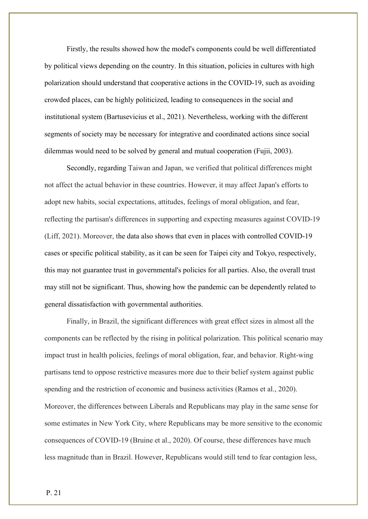Firstly, the results showed how the model's components could be well differentiated by political views depending on the country. In this situation, policies in cultures with high polarization should understand that cooperative actions in the COVID-19, such as avoiding crowded places, can be highly politicized, leading to consequences in the social and institutional system (Bartusevicius et al., 2021). Nevertheless, working with the different segments of society may be necessary for integrative and coordinated actions since social dilemmas would need to be solved by general and mutual cooperation (Fujii, 2003).

Secondly, regarding Taiwan and Japan, we verified that political differences might not affect the actual behavior in these countries. However, it may affect Japan's efforts to adopt new habits, social expectations, attitudes, feelings of moral obligation, and fear, reflecting the partisan's differences in supporting and expecting measures against COVID-19 (Liff, 2021). Moreover, the data also shows that even in places with controlled COVID-19 cases or specific political stability, as it can be seen for Taipei city and Tokyo, respectively, this may not guarantee trust in governmental's policies for all parties. Also, the overall trust may still not be significant. Thus, showing how the pandemic can be dependently related to general dissatisfaction with governmental authorities.

Finally, in Brazil, the significant differences with great effect sizes in almost all the components can be reflected by the rising in political polarization. This political scenario may impact trust in health policies, feelings of moral obligation, fear, and behavior. Right-wing partisans tend to oppose restrictive measures more due to their belief system against public spending and the restriction of economic and business activities (Ramos et al., 2020). Moreover, the differences between Liberals and Republicans may play in the same sense for some estimates in New York City, where Republicans may be more sensitive to the economic consequences of COVID-19 (Bruine et al., 2020). Of course, these differences have much less magnitude than in Brazil. However, Republicans would still tend to fear contagion less,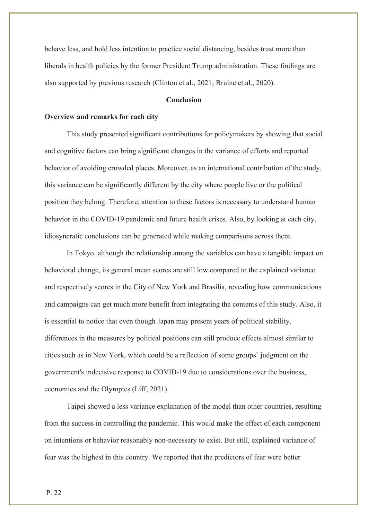behave less, and hold less intention to practice social distancing, besides trust more than liberals in health policies by the former President Trump administration. These findings are also supported by previous research (Clinton et al., 2021; Bruine et al., 2020).

## **Conclusion**

## **Overview and remarks for each city**

This study presented significant contributions for policymakers by showing that social and cognitive factors can bring significant changes in the variance of efforts and reported behavior of avoiding crowded places. Moreover, as an international contribution of the study, this variance can be significantly different by the city where people live or the political position they belong. Therefore, attention to these factors is necessary to understand human behavior in the COVID-19 pandemic and future health crises. Also, by looking at each city, idiosyncratic conclusions can be generated while making comparisons across them.

In Tokyo, although the relationship among the variables can have a tangible impact on behavioral change, its general mean scores are still low compared to the explained variance and respectively scores in the City of New York and Brasilia, revealing how communications and campaigns can get much more benefit from integrating the contents of this study. Also, it is essential to notice that even though Japan may present years of political stability, differences in the measures by political positions can still produce effects almost similar to cities such as in New York, which could be a reflection of some groups` judgment on the government's indecisive response to COVID-19 due to considerations over the business, economics and the Olympics (Liff, 2021).

Taipei showed a less variance explanation of the model than other countries, resulting from the success in controlling the pandemic. This would make the effect of each component on intentions or behavior reasonably non-necessary to exist. But still, explained variance of fear was the highest in this country. We reported that the predictors of fear were better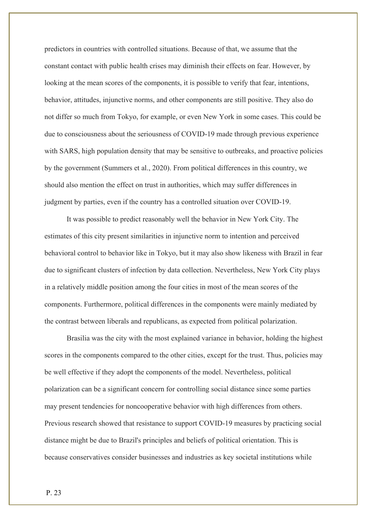predictors in countries with controlled situations. Because of that, we assume that the constant contact with public health crises may diminish their effects on fear. However, by looking at the mean scores of the components, it is possible to verify that fear, intentions, behavior, attitudes, injunctive norms, and other components are still positive. They also do not differ so much from Tokyo, for example, or even New York in some cases. This could be due to consciousness about the seriousness of COVID-19 made through previous experience with SARS, high population density that may be sensitive to outbreaks, and proactive policies by the government (Summers et al., 2020). From political differences in this country, we should also mention the effect on trust in authorities, which may suffer differences in judgment by parties, even if the country has a controlled situation over COVID-19.

It was possible to predict reasonably well the behavior in New York City. The estimates of this city present similarities in injunctive norm to intention and perceived behavioral control to behavior like in Tokyo, but it may also show likeness with Brazil in fear due to significant clusters of infection by data collection. Nevertheless, New York City plays in a relatively middle position among the four cities in most of the mean scores of the components. Furthermore, political differences in the components were mainly mediated by the contrast between liberals and republicans, as expected from political polarization.

Brasilia was the city with the most explained variance in behavior, holding the highest scores in the components compared to the other cities, except for the trust. Thus, policies may be well effective if they adopt the components of the model. Nevertheless, political polarization can be a significant concern for controlling social distance since some parties may present tendencies for noncooperative behavior with high differences from others. Previous research showed that resistance to support COVID-19 measures by practicing social distance might be due to Brazil's principles and beliefs of political orientation. This is because conservatives consider businesses and industries as key societal institutions while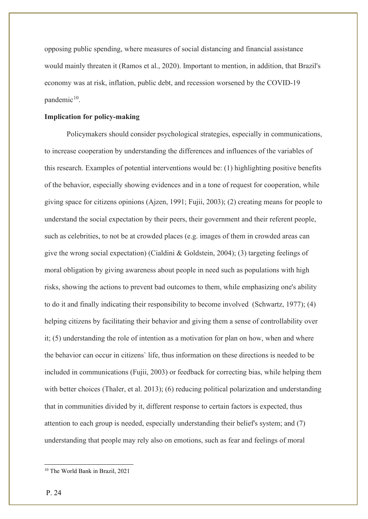opposing public spending, where measures of social distancing and financial assistance would mainly threaten it (Ramos et al., 2020). Important to mention, in addition, that Brazil's economy was at risk, inflation, public debt, and recession worsened by the COVID-19 pandemic $10$ .

## **Implication for policy-making**

Policymakers should consider psychological strategies, especially in communications, to increase cooperation by understanding the differences and influences of the variables of this research. Examples of potential interventions would be: (1) highlighting positive benefits of the behavior, especially showing evidences and in a tone of request for cooperation, while giving space for citizens opinions (Ajzen, 1991; Fujii, 2003); (2) creating means for people to understand the social expectation by their peers, their government and their referent people, such as celebrities, to not be at crowded places (e.g. images of them in crowded areas can give the wrong social expectation) (Cialdini & Goldstein, 2004); (3) targeting feelings of moral obligation by giving awareness about people in need such as populations with high risks, showing the actions to prevent bad outcomes to them, while emphasizing one's ability to do it and finally indicating their responsibility to become involved (Schwartz, 1977); (4) helping citizens by facilitating their behavior and giving them a sense of controllability over it; (5) understanding the role of intention as a motivation for plan on how, when and where the behavior can occur in citizens` life, thus information on these directions is needed to be included in communications (Fujii, 2003) or feedback for correcting bias, while helping them with better choices (Thaler, et al. 2013); (6) reducing political polarization and understanding that in communities divided by it, different response to certain factors is expected, thus attention to each group is needed, especially understanding their belief's system; and (7) understanding that people may rely also on emotions, such as fear and feelings of moral

<span id="page-25-0"></span><sup>10</sup> The World Bank in Brazil, 2021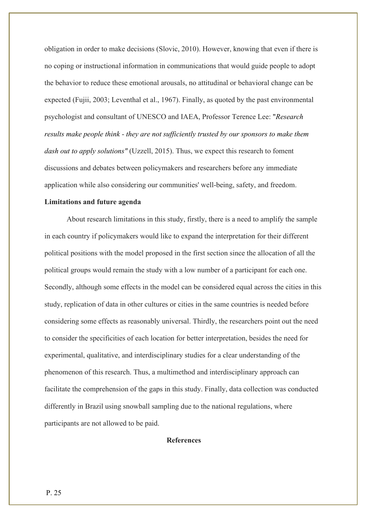obligation in order to make decisions (Slovic, 2010). However, knowing that even if there is no coping or instructional information in communications that would guide people to adopt the behavior to reduce these emotional arousals, no attitudinal or behavioral change can be expected (Fujii, 2003; Leventhal et al., 1967). Finally, as quoted by the past environmental psychologist and consultant of UNESCO and IAEA, Professor Terence Lee: "*Research results make people think - they are not sufficiently trusted by our sponsors to make them dash out to apply solutions"* (Uzzell, 2015). Thus, we expect this research to foment discussions and debates between policymakers and researchers before any immediate application while also considering our communities' well-being, safety, and freedom.

## **Limitations and future agenda**

About research limitations in this study, firstly, there is a need to amplify the sample in each country if policymakers would like to expand the interpretation for their different political positions with the model proposed in the first section since the allocation of all the political groups would remain the study with a low number of a participant for each one. Secondly, although some effects in the model can be considered equal across the cities in this study, replication of data in other cultures or cities in the same countries is needed before considering some effects as reasonably universal. Thirdly, the researchers point out the need to consider the specificities of each location for better interpretation, besides the need for experimental, qualitative, and interdisciplinary studies for a clear understanding of the phenomenon of this research. Thus, a multimethod and interdisciplinary approach can facilitate the comprehension of the gaps in this study. Finally, data collection was conducted differently in Brazil using snowball sampling due to the national regulations, where participants are not allowed to be paid.

## **References**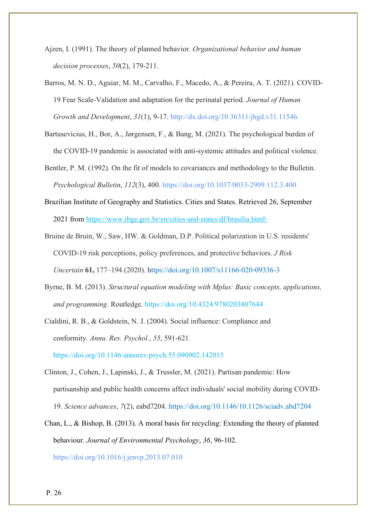- Ajzen, I. (1991). The theory of planned behavior. *Organizational behavior and human decision processes*, *50*(2), 179-211.
- Barros, M. N. D., Aguiar, M. M., Carvalho, F., Macedo, A., & Pereira, A. T. (2021). COVID-19 Fear Scale-Validation and adaptation for the perinatal period. *Journal of Human Growth and Development*, *31*(1), 9-17. http://dx.doi.org/10.36311/jhgd.v31.11546.
- Bartusevicius, H., Bor, A., Jørgensen, F., & Bang, M. (2021). The psychological burden of the COVID-19 pandemic is associated with anti-systemic attitudes and political violence.

Bentler, P. M. (1992). On the fit of models to covariances and methodology to the Bulletin. *Psychological Bulletin*, *112*(3), 400. [https://doi.org/10.1037/0033-2909.112.3.400](https://psycnet.apa.org/doi/10.1037/0033-2909.112.3.400)

- Brazilian Institute of Geography and Statistics. Cities and States. Retrieved 26, September 2021 from [https://www.ibge.gov.br/en/cities-and-states/df/brasilia.html\](https://www.ibge.gov.br/en/cities-and-states/df/brasilia.html/)
- Bruine de Bruin, W., Saw, HW. & Goldman, D.P. Political polarization in U.S. residents' COVID-19 risk perceptions, policy preferences, and protective behaviors. *J Risk Uncertain* **61,** 177–194 (2020). https://doi.org/10.1007/s11166-020-09336-3
- Byrne, B. M. (2013). *Structural equation modeling with Mplus: Basic concepts, applications, and programming*. Routledge. <https://doi.org/10.4324/9780203807644>

Cialdini, R. B., & Goldstein, N. J. (2004). Social influence: Compliance and conformity. *Annu. Rev. Psychol.*, *55*, 591-621.

<https://doi.org/10.1146/annurev.psych.55.090902.142015>

- Clinton, J., Cohen, J., Lapinski, J., & Trussler, M. (2021). Partisan pandemic: How partisanship and public health concerns affect individuals' social mobility during COVID-19. *Science advances*, *7*(2), eabd7204. https://doi.org/10.1146[/10.1126/sciadv.abd7204](https://doi.org/10.1126/sciadv.abd7204)
- Chan, L., & Bishop, B. (2013). A moral basis for recycling: Extending the theory of planned behaviour. *Journal of Environmental Psychology*, *36*, 96-102. <https://doi.org/10.1016/j.jenvp.2013.07.010>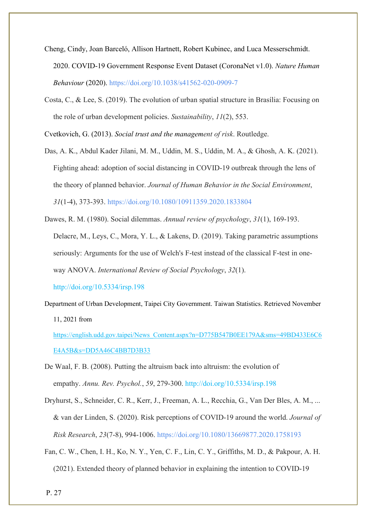- Cheng, Cindy, Joan Barceló, Allison Hartnett, Robert Kubinec, and Luca Messerschmidt. 2020. COVID-19 Government Response Event Dataset (CoronaNet v1.0). *Nature Human Behaviour* (2020). https://doi.org/10.1038/s41562-020-0909-7
- Costa, C., & Lee, S. (2019). The evolution of urban spatial structure in Brasília: Focusing on the role of urban development policies. *Sustainability*, *11*(2), 553.

Cvetkovich, G. (2013). *Social trust and the management of risk*. Routledge.

- Das, A. K., Abdul Kader Jilani, M. M., Uddin, M. S., Uddin, M. A., & Ghosh, A. K. (2021). Fighting ahead: adoption of social distancing in COVID-19 outbreak through the lens of the theory of planned behavior. *Journal of Human Behavior in the Social Environment*, *31*(1-4), 373-393.<https://doi.org/10.1080/10911359.2020.1833804>
- Dawes, R. M. (1980). Social dilemmas. *Annual review of psychology*, *31*(1), 169-193. Delacre, M., Leys, C., Mora, Y. L., & Lakens, D. (2019). Taking parametric assumptions seriously: Arguments for the use of Welch's F-test instead of the classical F-test in oneway ANOVA. *International Review of Social Psychology*, *32*(1).

<http://doi.org/10.5334/irsp.198>

Department of Urban Development, Taipei City Government. Taiwan Statistics. Retrieved November 11, 2021 from

[https://english.udd.gov.taipei/News\\_Content.aspx?n=D775B547B0EE179A&sms=49BD433E6C6](https://english.udd.gov.taipei/News_Content.aspx?n=D775B547B0EE179A&sms=49BD433E6C6E4A5B&s=DD5A46C4BB7D3B33) [E4A5B&s=DD5A46C4BB7D3B33](https://english.udd.gov.taipei/News_Content.aspx?n=D775B547B0EE179A&sms=49BD433E6C6E4A5B&s=DD5A46C4BB7D3B33)

- De Waal, F. B. (2008). Putting the altruism back into altruism: the evolution of empathy. *Annu. Rev. Psychol.*, *59*, 279-300. http://doi.org/10.5334/irsp.198
- Dryhurst, S., Schneider, C. R., Kerr, J., Freeman, A. L., Recchia, G., Van Der Bles, A. M., ... & van der Linden, S. (2020). Risk perceptions of COVID-19 around the world. *Journal of Risk Research*, *23*(7-8), 994-1006.<https://doi.org/10.1080/13669877.2020.1758193>
- Fan, C. W., Chen, I. H., Ko, N. Y., Yen, C. F., Lin, C. Y., Griffiths, M. D., & Pakpour, A. H. (2021). Extended theory of planned behavior in explaining the intention to COVID-19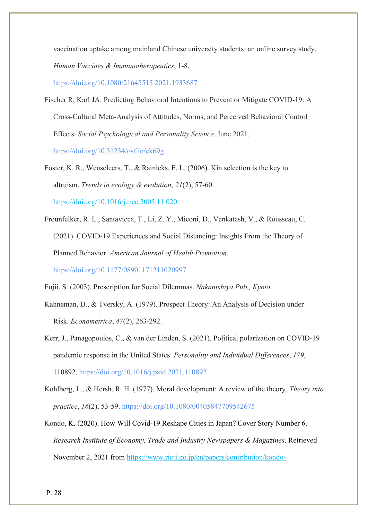vaccination uptake among mainland Chinese university students: an online survey study. *Human Vaccines & Immunotherapeutics*, 1-8.

<https://doi.org/10.1080/21645515.2021.1933687>

Fischer R, Karl JA. Predicting Behavioral Intentions to Prevent or Mitigate COVID-19: A Cross-Cultural Meta-Analysis of Attitudes, Norms, and Perceived Behavioral Control Effects. *Social Psychological and Personality Science*. June 2021.

[https://doi.org/](https://doi.org/10.1177%2F0146167211407075)[10.31234/osf.io/ek69g](https://doi.org/10.31234/osf.io/ek69g)

Foster, K. R., Wenseleers, T., & Ratnieks, F. L. (2006). Kin selection is the key to altruism. *Trends in ecology & evolution*, *21*(2), 57-60. <https://doi.org/10.1016/j.tree.2005.11.020>

Frounfelker, R. L., Santavicca, T., Li, Z. Y., Miconi, D., Venkatesh, V., & Rousseau, C. (2021). COVID-19 Experiences and Social Distancing: Insights From the Theory of Planned Behavior. *American Journal of Health Promotion*. [https://doi.org/10.1177/08901171211020997](https://doi.org/10.1177%2F08901171211020997)

Fujii, S. (2003). Prescription for Social Dilemmas. *Nakanishiya Pub., Kyoto*.

- Kahneman, D., & Tversky, A. (1979). Prospect Theory: An Analysis of Decision under Risk. *Econometrica*, *47*(2), 263-292.
- Kerr, J., Panagopoulos, C., & van der Linden, S. (2021). Political polarization on COVID-19 pandemic response in the United States. *Personality and Individual Differences*, *179*, 110892.<https://doi.org/10.1016/j.paid.2021.110892>
- Kohlberg, L., & Hersh, R. H. (1977). Moral development: A review of the theory. *Theory into practice*, *16*(2), 53-59.<https://doi.org/10.1080/00405847709542675>
- Kondo, K. (2020). How Will Covid-19 Reshape Cities in Japan? Cover Story Number 6. *Research Institute of Economy, Trade and Industry Newspapers & Magazines*. Retrieved November 2, 2021 from [https://www.rieti.go.jp/en/papers/contribution/kondo-](https://www.rieti.go.jp/en/papers/contribution/kondo-keisuke/01.html)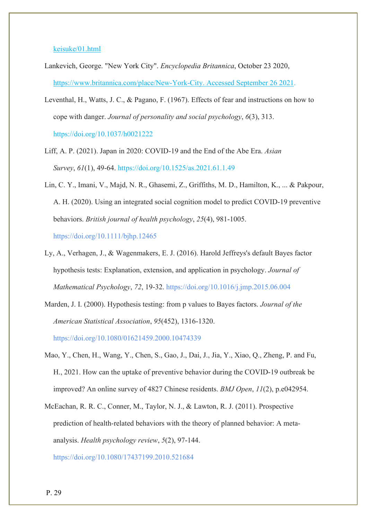## [keisuke/01.html](https://www.rieti.go.jp/en/papers/contribution/kondo-keisuke/01.html)

- Lankevich, George. "New York City". *Encyclopedia Britannica*, October 23 2020, [https://www.britannica.com/place/New-York-City. Accessed September 26 2021.](https://www.britannica.com/place/New-York-City.%20Accessed%2026%20September%202021)
- Leventhal, H., Watts, J. C., & Pagano, F. (1967). Effects of fear and instructions on how to cope with danger. *Journal of personality and social psychology*, *6*(3), 313. [https://doi.org/10.1037/h0021222](https://psycnet.apa.org/doi/10.1037/h0021222)
- Liff, A. P. (2021). Japan in 2020: COVID-19 and the End of the Abe Era. *Asian Survey*, *61*(1), 49-64.<https://doi.org/10.1525/as.2021.61.1.49>
- Lin, C. Y., Imani, V., Majd, N. R., Ghasemi, Z., Griffiths, M. D., Hamilton, K., ... & Pakpour, A. H. (2020). Using an integrated social cognition model to predict COVID‐19 preventive behaviors. *British journal of health psychology*, *25*(4), 981-1005. <https://doi.org/10.1111/bjhp.12465>

Ly, A., Verhagen, J., & Wagenmakers, E. J. (2016). Harold Jeffreys's default Bayes factor hypothesis tests: Explanation, extension, and application in psychology. *Journal of Mathematical Psychology*, *72*, 19-32. <https://doi.org/10.1016/j.jmp.2015.06.004>

Marden, J. I. (2000). Hypothesis testing: from p values to Bayes factors. *Journal of the American Statistical Association*, *95*(452), 1316-1320.

<https://doi.org/10.1080/01621459.2000.10474339>

- Mao, Y., Chen, H., Wang, Y., Chen, S., Gao, J., Dai, J., Jia, Y., Xiao, Q., Zheng, P. and Fu, H., 2021. How can the uptake of preventive behavior during the COVID-19 outbreak be improved? An online survey of 4827 Chinese residents. *BMJ Open*, *11*(2), p.e042954.
- McEachan, R. R. C., Conner, M., Taylor, N. J., & Lawton, R. J. (2011). Prospective prediction of health-related behaviors with the theory of planned behavior: A metaanalysis. *Health psychology review*, *5*(2), 97-144.

<https://doi.org/10.1080/17437199.2010.521684>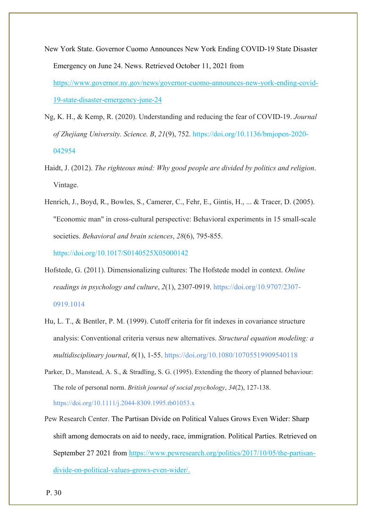- New York State. Governor Cuomo Announces New York Ending COVID-19 State Disaster Emergency on June 24. News. Retrieved October 11, 2021 from [https://www.governor.ny.gov/news/governor-cuomo-announces-new-york-ending-covid-](https://www.governor.ny.gov/news/governor-cuomo-announces-new-york-ending-covid-19-state-disaster-emergency-june-24)[19-state-disaster-emergency-june-24](https://www.governor.ny.gov/news/governor-cuomo-announces-new-york-ending-covid-19-state-disaster-emergency-june-24)
- Ng, K. H., & Kemp, R. (2020). Understanding and reducing the fear of COVID-19. *Journal of Zhejiang University. Science. B*, *21*(9), 752. [https://doi.org/10.1136/bmjopen-2020-](https://doi.org/10.1136/bmjopen-2020-042954) [042954](https://doi.org/10.1136/bmjopen-2020-042954)
- Haidt, J. (2012). *The righteous mind: Why good people are divided by politics and religion*. Vintage.

Henrich, J., Boyd, R., Bowles, S., Camerer, C., Fehr, E., Gintis, H., ... & Tracer, D. (2005). "Economic man" in cross-cultural perspective: Behavioral experiments in 15 small-scale societies. *Behavioral and brain sciences*, *28*(6), 795-855. <https://doi.org/10.1017/S0140525X05000142>

- Hofstede, G. (2011). Dimensionalizing cultures: The Hofstede model in context. *Online readings in psychology and culture*, *2*(1), 2307-0919. [https://doi.org/10.9707/2307-](https://doi.org/10.9707/2307-0919.1014) [0919.1014](https://doi.org/10.9707/2307-0919.1014)
- Hu, L. T., & Bentler, P. M. (1999). Cutoff criteria for fit indexes in covariance structure analysis: Conventional criteria versus new alternatives. *Structural equation modeling: a multidisciplinary journal*, *6*(1), 1-55.<https://doi.org/10.1080/10705519909540118>
- Parker, D., Manstead, A. S., & Stradling, S. G. (1995). Extending the theory of planned behaviour: The role of personal norm. *British journal of social psychology*, *34*(2), 127-138. <https://doi.org/10.1111/j.2044-8309.1995.tb01053.x>
- Pew Research Center. The Partisan Divide on Political Values Grows Even Wider: Sharp shift among democrats on aid to needy, race, immigration. Political Parties. Retrieved on September 27 2021 from [https://www.pewresearch.org/politics/2017/10/05/the-partisan](https://www.pewresearch.org/politics/2017/10/05/the-partisan-divide-on-political-values-grows-even-wider/)[divide-on-political-values-grows-even-wider/.](https://www.pewresearch.org/politics/2017/10/05/the-partisan-divide-on-political-values-grows-even-wider/)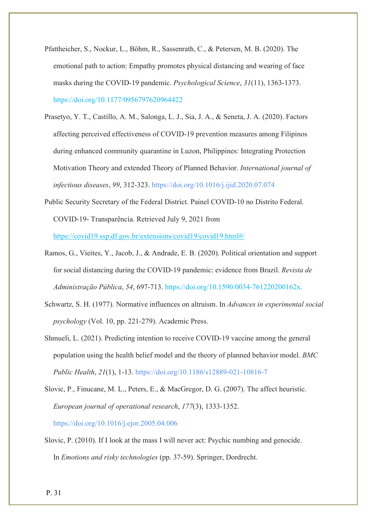- Pfattheicher, S., Nockur, L., Böhm, R., Sassenrath, C., & Petersen, M. B. (2020). The emotional path to action: Empathy promotes physical distancing and wearing of face masks during the COVID-19 pandemic. *Psychological Science*, *31*(11), 1363-1373. [https://doi.org/10.1177/0956797620964422](https://doi.org/10.1177%2F0956797620964422)
- Prasetyo, Y. T., Castillo, A. M., Salonga, L. J., Sia, J. A., & Seneta, J. A. (2020). Factors affecting perceived effectiveness of COVID-19 prevention measures among Filipinos during enhanced community quarantine in Luzon, Philippines: Integrating Protection Motivation Theory and extended Theory of Planned Behavior. *International journal of infectious diseases*, *99*, 312-323.<https://doi.org/10.1016/j.ijid.2020.07.074>
- Public Security Secretary of the Federal District. Painel COVID-10 no Distrito Federal. COVID-19- Transparência. Retrieved July 9, 2021 from <https://covid19.ssp.df.gov.br/extensions/covid19/covid19.html#/>
- Ramos, G., Vieites, Y., Jacob, J., & Andrade, E. B. (2020). Political orientation and support for social distancing during the COVID-19 pandemic: evidence from Brazil. *Revista de Administração Pública*, *54*, 697-713. https://doi.org/10.1590/0034-761220200162x.
- Schwartz, S. H. (1977). Normative influences on altruism. In *Advances in experimental social psychology* (Vol. 10, pp. 221-279). Academic Press.
- Shmueli, L. (2021). Predicting intention to receive COVID-19 vaccine among the general population using the health belief model and the theory of planned behavior model. *BMC Public Health*, *21*(1), 1-13.<https://doi.org/10.1186/s12889-021-10816-7>
- Slovic, P., Finucane, M. L., Peters, E., & MacGregor, D. G. (2007). The affect heuristic. *European journal of operational research*, *177*(3), 1333-1352. <https://doi.org/10.1016/j.ejor.2005.04.006>
- Slovic, P. (2010). If I look at the mass I will never act: Psychic numbing and genocide. In *Emotions and risky technologies* (pp. 37-59). Springer, Dordrecht.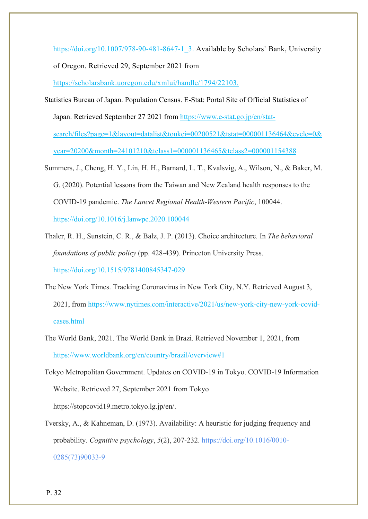[https://doi.org/10.1007/978-90-481-8647-1\\_3.](https://doi.org/10.1007/978-90-481-8647-1_3) Available by Scholars` Bank, University of Oregon. Retrieved 29, September 2021 from <https://scholarsbank.uoregon.edu/xmlui/handle/1794/22103.>

- Statistics Bureau of Japan. Population Census. E-Stat: Portal Site of Official Statistics of Japan. Retrieved September 27 2021 from [https://www.e-stat.go.jp/en/stat](https://www.e-stat.go.jp/en/stat-search/files?page=1&layout=datalist&toukei=00200521&tstat=000001136464&cycle=0&year=20200&month=24101210&tclass1=000001136465&tclass2=000001154388)[search/files?page=1&layout=datalist&toukei=00200521&tstat=000001136464&cycle=0&](https://www.e-stat.go.jp/en/stat-search/files?page=1&layout=datalist&toukei=00200521&tstat=000001136464&cycle=0&year=20200&month=24101210&tclass1=000001136465&tclass2=000001154388) [year=20200&month=24101210&tclass1=000001136465&tclass2=000001154388](https://www.e-stat.go.jp/en/stat-search/files?page=1&layout=datalist&toukei=00200521&tstat=000001136464&cycle=0&year=20200&month=24101210&tclass1=000001136465&tclass2=000001154388)
- Summers, J., Cheng, H. Y., Lin, H. H., Barnard, L. T., Kvalsvig, A., Wilson, N., & Baker, M. G. (2020). Potential lessons from the Taiwan and New Zealand health responses to the COVID-19 pandemic. *The Lancet Regional Health-Western Pacific*, 100044. <https://doi.org/10.1016/j.lanwpc.2020.100044>
- Thaler, R. H., Sunstein, C. R., & Balz, J. P. (2013). Choice architecture. In *The behavioral foundations of public policy* (pp. 428-439). Princeton University Press. <https://doi.org/10.1515/9781400845347-029>
- The New York Times. Tracking Coronavirus in New Tork City, N.Y. Retrieved August 3, 2021, from [https://www.nytimes.com/interactive/2021/us/new-york-city-new-york-covid](https://www.nytimes.com/interactive/2021/us/new-york-city-new-york-covid-cases.html)[cases.html](https://www.nytimes.com/interactive/2021/us/new-york-city-new-york-covid-cases.html)
- The World Bank, 2021. The World Bank in Brazi. Retrieved November 1, 2021, from https://www.worldbank.org/en/country/brazil/overview#1
- Tokyo Metropolitan Government. Updates on COVID-19 in Tokyo. COVID-19 Information Website. Retrieved 27, September 2021 from Tokyo https://stopcovid19.metro.tokyo.lg.jp/en/.
- Tversky, A., & Kahneman, D. (1973). Availability: A heuristic for judging frequency and probability. *Cognitive psychology*, *5*(2), 207-232. [https://doi.org/10.1016/0010-](https://doi.org/10.1016/0010-0285(73)90033-9) [0285\(73\)90033-9](https://doi.org/10.1016/0010-0285(73)90033-9)